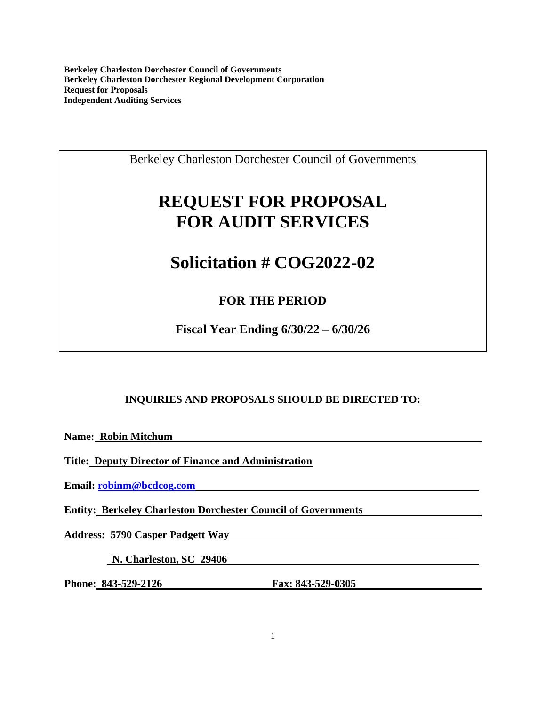Berkeley Charleston Dorchester Council of Governments

# **REQUEST FOR PROPOSAL FOR AUDIT SERVICES**

# **Solicitation # COG2022-02**

# **FOR THE PERIOD**

**Fiscal Year Ending 6/30/22 – 6/30/26**

# **INQUIRIES AND PROPOSALS SHOULD BE DIRECTED TO:**

**Name: Robin Mitchum** 

**Title: Deputy Director of Finance and Administration**

**Email: [robinm@bcdcog.com](mailto:robinm@bcdcog.com)** 

**Entity: Berkeley Charleston Dorchester Council of Governments** 

**Address: 5790 Casper Padgett Way** 

 **N. Charleston, SC 29406** 

**Phone: 843-529-2126 Fax: 843-529-0305**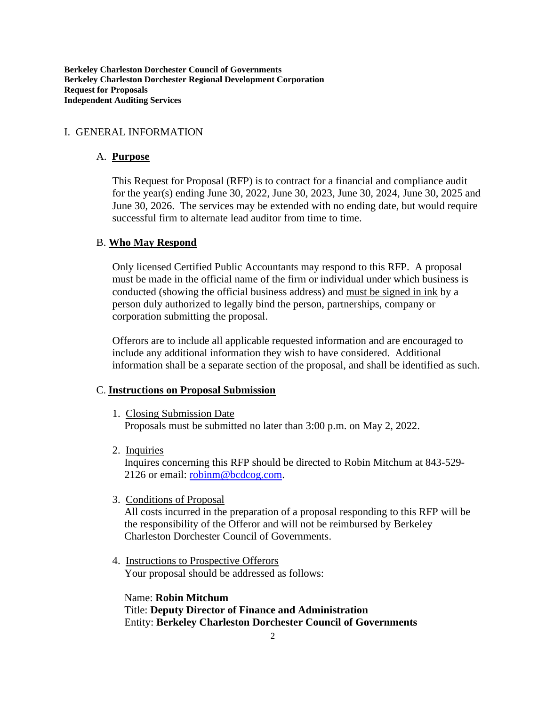#### I. GENERAL INFORMATION

#### A. **Purpose**

This Request for Proposal (RFP) is to contract for a financial and compliance audit for the year(s) ending June 30, 2022, June 30, 2023, June 30, 2024, June 30, 2025 and June 30, 2026. The services may be extended with no ending date, but would require successful firm to alternate lead auditor from time to time.

#### B. **Who May Respond**

Only licensed Certified Public Accountants may respond to this RFP. A proposal must be made in the official name of the firm or individual under which business is conducted (showing the official business address) and must be signed in ink by a person duly authorized to legally bind the person, partnerships, company or corporation submitting the proposal.

Offerors are to include all applicable requested information and are encouraged to include any additional information they wish to have considered. Additional information shall be a separate section of the proposal, and shall be identified as such.

#### C. **Instructions on Proposal Submission**

- 1. Closing Submission Date Proposals must be submitted no later than 3:00 p.m. on May 2, 2022.
- 2. Inquiries

Inquires concerning this RFP should be directed to Robin Mitchum at 843-529- 2126 or email: [robinm@bcdcog.com.](mailto:robinm@bcdcog.com)

3. Conditions of Proposal

All costs incurred in the preparation of a proposal responding to this RFP will be the responsibility of the Offeror and will not be reimbursed by Berkeley Charleston Dorchester Council of Governments.

4. Instructions to Prospective Offerors Your proposal should be addressed as follows:

Name: **Robin Mitchum** Title: **Deputy Director of Finance and Administration** Entity: **Berkeley Charleston Dorchester Council of Governments**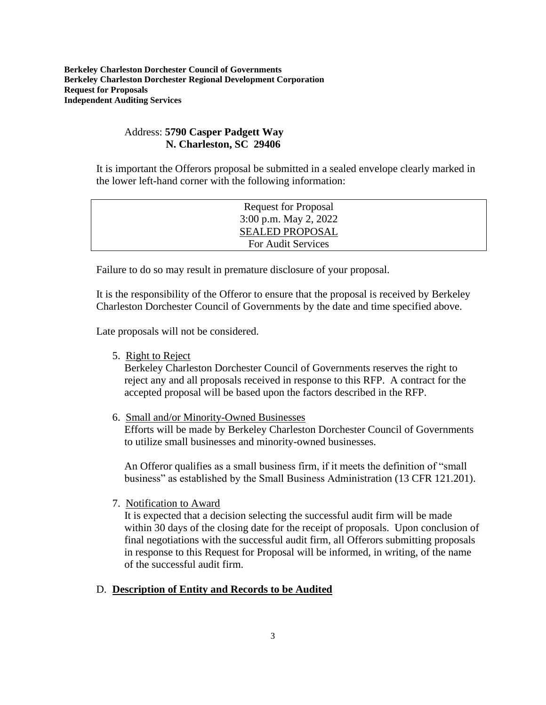## Address: **5790 Casper Padgett Way N. Charleston, SC 29406**

It is important the Offerors proposal be submitted in a sealed envelope clearly marked in the lower left-hand corner with the following information:

| <b>Request for Proposal</b> |  |
|-----------------------------|--|
| 3:00 p.m. May 2, 2022       |  |
| <b>SEALED PROPOSAL</b>      |  |
| For Audit Services          |  |
|                             |  |

Failure to do so may result in premature disclosure of your proposal.

It is the responsibility of the Offeror to ensure that the proposal is received by Berkeley Charleston Dorchester Council of Governments by the date and time specified above.

Late proposals will not be considered.

5. Right to Reject

Berkeley Charleston Dorchester Council of Governments reserves the right to reject any and all proposals received in response to this RFP. A contract for the accepted proposal will be based upon the factors described in the RFP.

6. Small and/or Minority-Owned Businesses

Efforts will be made by Berkeley Charleston Dorchester Council of Governments to utilize small businesses and minority-owned businesses.

An Offeror qualifies as a small business firm, if it meets the definition of "small business" as established by the Small Business Administration (13 CFR 121.201).

7. Notification to Award

It is expected that a decision selecting the successful audit firm will be made within 30 days of the closing date for the receipt of proposals. Upon conclusion of final negotiations with the successful audit firm, all Offerors submitting proposals in response to this Request for Proposal will be informed, in writing, of the name of the successful audit firm.

## D. **Description of Entity and Records to be Audited**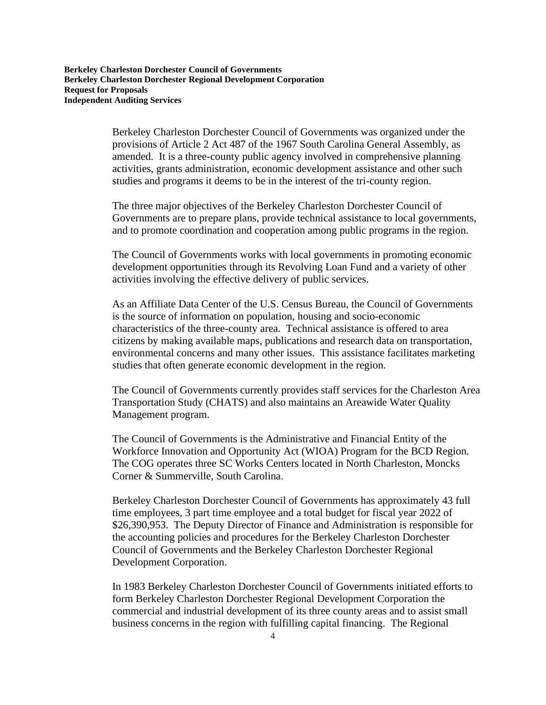Berkeley Charleston Dorchester Council of Governments was organized under the provisions of Article 2 Act 487 of the 1967 South Carolina General Assembly, as amended. It is a three-county public agency involved in comprehensive planning activities, grants administration, economic development assistance and other such studies and programs it deems to be in the interest of the tri-county region.

The three major objectives of the Berkeley Charleston Dorchester Council of Governments are to prepare plans, provide technical assistance to local governments, and to promote coordination and cooperation among public programs in the region.

The Council of Governments works with local governments in promoting economic development opportunities through its Revolving Loan Fund and a variety of other activities involving the effective delivery of public services.

As an Affiliate Data Center of the U.S. Census Bureau, the Council of Governments is the source of information on population, housing and socio-economic characteristics of the three-county area. Technical assistance is offered to area citizens by making available maps, publications and research data on transportation, environmental concerns and many other issues. This assistance facilitates marketing studies that often generate economic development in the region.

The Council of Governments currently provides staff services for the Charleston Area Transportation Study (CHATS) and also maintains an Areawide Water Quality Management program.

The Council of Governments is the Administrative and Financial Entity of the Workforce Innovation and Opportunity Act (WIOA) Program for the BCD Region. The COG operates three SC Works Centers located in North Charleston, Moncks Corner & Summerville, South Carolina.

Berkeley Charleston Dorchester Council of Governments has approximately 43 full time employees, 3 part time employee and a total budget for fiscal year 2022 of \$26,390,953. The Deputy Director of Finance and Administration is responsible for the accounting policies and procedures for the Berkeley Charleston Dorchester Council of Governments and the Berkeley Charleston Dorchester Regional Development Corporation.

In 1983 Berkeley Charleston Dorchester Council of Governments initiated efforts to form Berkeley Charleston Dorchester Regional Development Corporation the commercial and industrial development of its three county areas and to assist small business concerns in the region with fulfilling capital financing. The Regional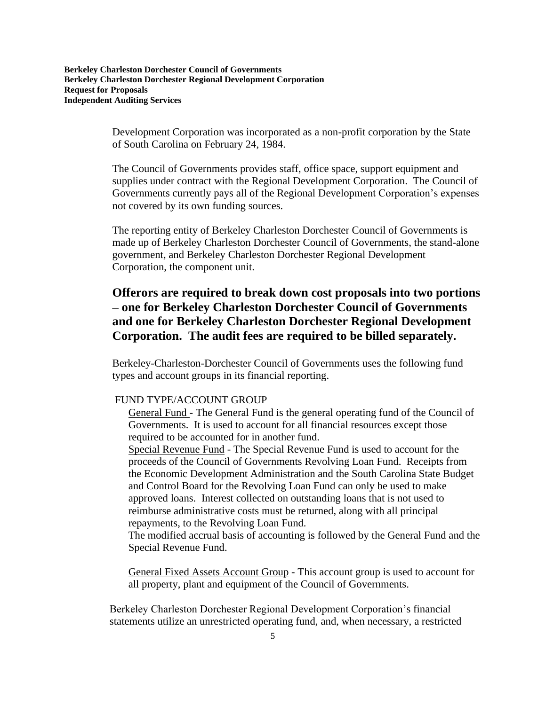> Development Corporation was incorporated as a non-profit corporation by the State of South Carolina on February 24, 1984.

The Council of Governments provides staff, office space, support equipment and supplies under contract with the Regional Development Corporation. The Council of Governments currently pays all of the Regional Development Corporation's expenses not covered by its own funding sources.

The reporting entity of Berkeley Charleston Dorchester Council of Governments is made up of Berkeley Charleston Dorchester Council of Governments, the stand-alone government, and Berkeley Charleston Dorchester Regional Development Corporation, the component unit.

# **Offerors are required to break down cost proposals into two portions – one for Berkeley Charleston Dorchester Council of Governments and one for Berkeley Charleston Dorchester Regional Development Corporation. The audit fees are required to be billed separately.**

Berkeley-Charleston-Dorchester Council of Governments uses the following fund types and account groups in its financial reporting.

#### FUND TYPE/ACCOUNT GROUP

General Fund - The General Fund is the general operating fund of the Council of Governments. It is used to account for all financial resources except those required to be accounted for in another fund.

Special Revenue Fund - The Special Revenue Fund is used to account for the proceeds of the Council of Governments Revolving Loan Fund. Receipts from the Economic Development Administration and the South Carolina State Budget and Control Board for the Revolving Loan Fund can only be used to make approved loans. Interest collected on outstanding loans that is not used to reimburse administrative costs must be returned, along with all principal repayments, to the Revolving Loan Fund.

The modified accrual basis of accounting is followed by the General Fund and the Special Revenue Fund.

General Fixed Assets Account Group - This account group is used to account for all property, plant and equipment of the Council of Governments.

Berkeley Charleston Dorchester Regional Development Corporation's financial statements utilize an unrestricted operating fund, and, when necessary, a restricted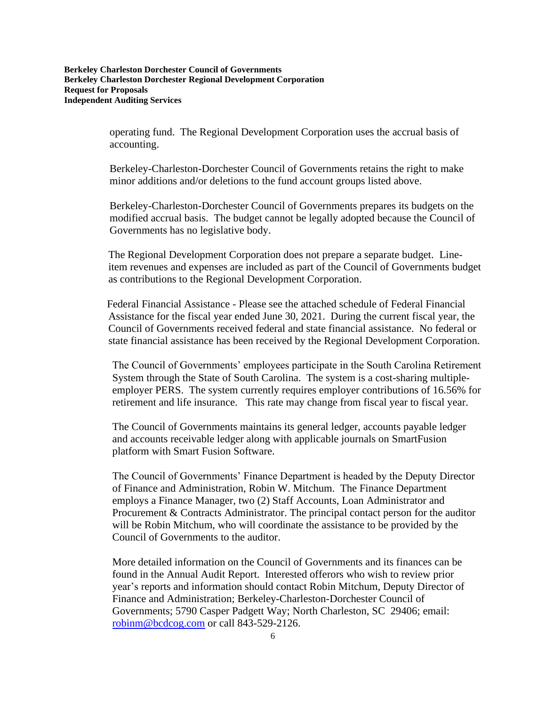> operating fund. The Regional Development Corporation uses the accrual basis of accounting.

Berkeley-Charleston-Dorchester Council of Governments retains the right to make minor additions and/or deletions to the fund account groups listed above.

Berkeley-Charleston-Dorchester Council of Governments prepares its budgets on the modified accrual basis. The budget cannot be legally adopted because the Council of Governments has no legislative body.

The Regional Development Corporation does not prepare a separate budget. Lineitem revenues and expenses are included as part of the Council of Governments budget as contributions to the Regional Development Corporation.

 Federal Financial Assistance - Please see the attached schedule of Federal Financial Assistance for the fiscal year ended June 30, 2021. During the current fiscal year, the Council of Governments received federal and state financial assistance. No federal or state financial assistance has been received by the Regional Development Corporation.

The Council of Governments' employees participate in the South Carolina Retirement System through the State of South Carolina. The system is a cost-sharing multipleemployer PERS. The system currently requires employer contributions of 16.56% for retirement and life insurance. This rate may change from fiscal year to fiscal year.

The Council of Governments maintains its general ledger, accounts payable ledger and accounts receivable ledger along with applicable journals on SmartFusion platform with Smart Fusion Software.

The Council of Governments' Finance Department is headed by the Deputy Director of Finance and Administration, Robin W. Mitchum. The Finance Department employs a Finance Manager, two (2) Staff Accounts, Loan Administrator and Procurement & Contracts Administrator. The principal contact person for the auditor will be Robin Mitchum, who will coordinate the assistance to be provided by the Council of Governments to the auditor.

More detailed information on the Council of Governments and its finances can be found in the Annual Audit Report. Interested offerors who wish to review prior year's reports and information should contact Robin Mitchum, Deputy Director of Finance and Administration; Berkeley-Charleston-Dorchester Council of Governments; 5790 Casper Padgett Way; North Charleston, SC 29406; email: [robinm@bcdcog.com](mailto:robinm@bcdcog.com) or call 843-529-2126.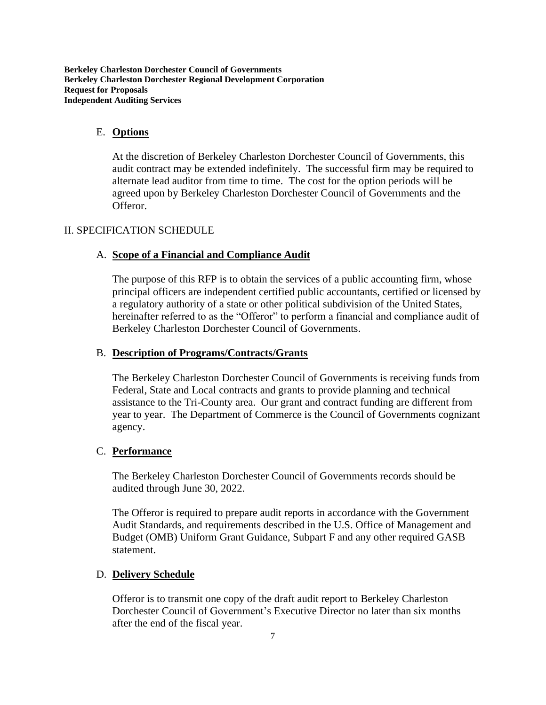#### E. **Options**

At the discretion of Berkeley Charleston Dorchester Council of Governments, this audit contract may be extended indefinitely. The successful firm may be required to alternate lead auditor from time to time. The cost for the option periods will be agreed upon by Berkeley Charleston Dorchester Council of Governments and the Offeror.

## II. SPECIFICATION SCHEDULE

#### A. **Scope of a Financial and Compliance Audit**

The purpose of this RFP is to obtain the services of a public accounting firm, whose principal officers are independent certified public accountants, certified or licensed by a regulatory authority of a state or other political subdivision of the United States, hereinafter referred to as the "Offeror" to perform a financial and compliance audit of Berkeley Charleston Dorchester Council of Governments.

#### B. **Description of Programs/Contracts/Grants**

The Berkeley Charleston Dorchester Council of Governments is receiving funds from Federal, State and Local contracts and grants to provide planning and technical assistance to the Tri-County area. Our grant and contract funding are different from year to year. The Department of Commerce is the Council of Governments cognizant agency.

#### C. **Performance**

The Berkeley Charleston Dorchester Council of Governments records should be audited through June 30, 2022.

The Offeror is required to prepare audit reports in accordance with the Government Audit Standards, and requirements described in the U.S. Office of Management and Budget (OMB) Uniform Grant Guidance, Subpart F and any other required GASB statement.

#### D. **Delivery Schedule**

Offeror is to transmit one copy of the draft audit report to Berkeley Charleston Dorchester Council of Government's Executive Director no later than six months after the end of the fiscal year.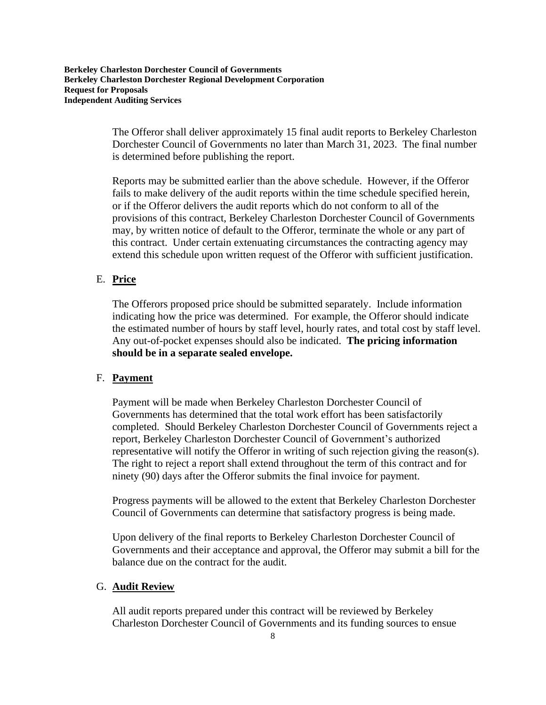> The Offeror shall deliver approximately 15 final audit reports to Berkeley Charleston Dorchester Council of Governments no later than March 31, 2023. The final number is determined before publishing the report.

> Reports may be submitted earlier than the above schedule. However, if the Offeror fails to make delivery of the audit reports within the time schedule specified herein, or if the Offeror delivers the audit reports which do not conform to all of the provisions of this contract, Berkeley Charleston Dorchester Council of Governments may, by written notice of default to the Offeror, terminate the whole or any part of this contract. Under certain extenuating circumstances the contracting agency may extend this schedule upon written request of the Offeror with sufficient justification.

#### E. **Price**

The Offerors proposed price should be submitted separately. Include information indicating how the price was determined. For example, the Offeror should indicate the estimated number of hours by staff level, hourly rates, and total cost by staff level. Any out-of-pocket expenses should also be indicated. **The pricing information should be in a separate sealed envelope.**

#### F. **Payment**

Payment will be made when Berkeley Charleston Dorchester Council of Governments has determined that the total work effort has been satisfactorily completed. Should Berkeley Charleston Dorchester Council of Governments reject a report, Berkeley Charleston Dorchester Council of Government's authorized representative will notify the Offeror in writing of such rejection giving the reason(s). The right to reject a report shall extend throughout the term of this contract and for ninety (90) days after the Offeror submits the final invoice for payment.

Progress payments will be allowed to the extent that Berkeley Charleston Dorchester Council of Governments can determine that satisfactory progress is being made.

Upon delivery of the final reports to Berkeley Charleston Dorchester Council of Governments and their acceptance and approval, the Offeror may submit a bill for the balance due on the contract for the audit.

#### G. **Audit Review**

All audit reports prepared under this contract will be reviewed by Berkeley Charleston Dorchester Council of Governments and its funding sources to ensue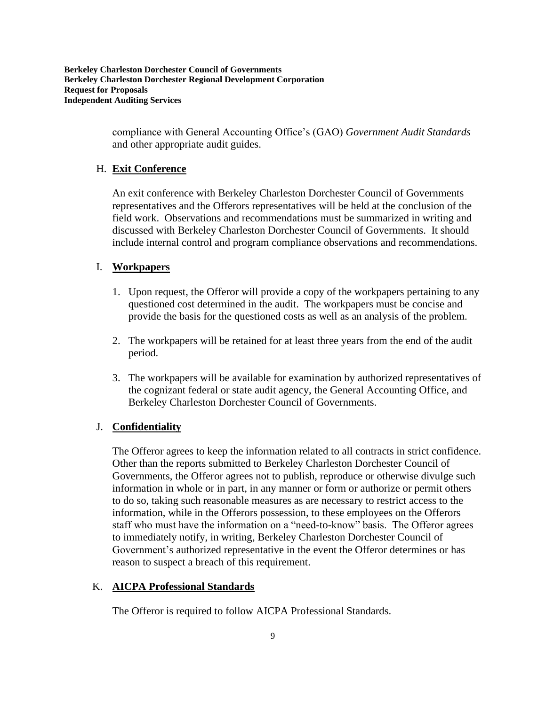> compliance with General Accounting Office's (GAO) *Government Audit Standards*  and other appropriate audit guides.

#### H. **Exit Conference**

An exit conference with Berkeley Charleston Dorchester Council of Governments representatives and the Offerors representatives will be held at the conclusion of the field work. Observations and recommendations must be summarized in writing and discussed with Berkeley Charleston Dorchester Council of Governments. It should include internal control and program compliance observations and recommendations.

#### I. **Workpapers**

- 1. Upon request, the Offeror will provide a copy of the workpapers pertaining to any questioned cost determined in the audit. The workpapers must be concise and provide the basis for the questioned costs as well as an analysis of the problem.
- 2. The workpapers will be retained for at least three years from the end of the audit period.
- 3. The workpapers will be available for examination by authorized representatives of the cognizant federal or state audit agency, the General Accounting Office, and Berkeley Charleston Dorchester Council of Governments.

#### J. **Confidentiality**

The Offeror agrees to keep the information related to all contracts in strict confidence. Other than the reports submitted to Berkeley Charleston Dorchester Council of Governments, the Offeror agrees not to publish, reproduce or otherwise divulge such information in whole or in part, in any manner or form or authorize or permit others to do so, taking such reasonable measures as are necessary to restrict access to the information, while in the Offerors possession, to these employees on the Offerors staff who must have the information on a "need-to-know" basis. The Offeror agrees to immediately notify, in writing, Berkeley Charleston Dorchester Council of Government's authorized representative in the event the Offeror determines or has reason to suspect a breach of this requirement.

#### K. **AICPA Professional Standards**

The Offeror is required to follow AICPA Professional Standards.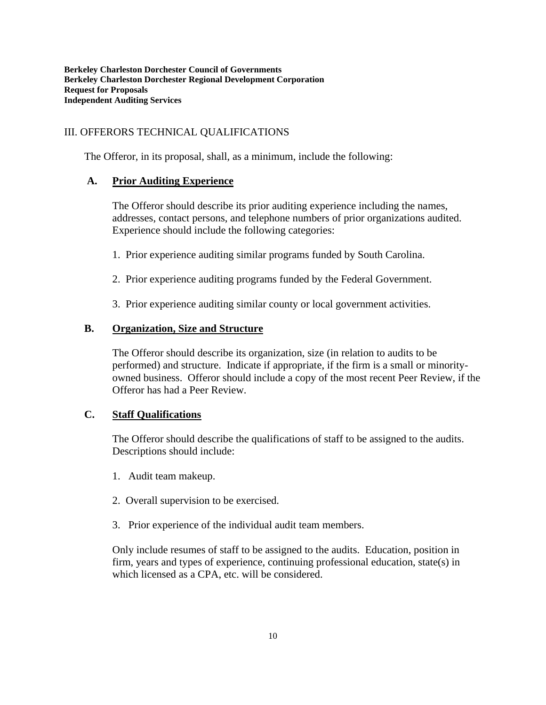## III. OFFERORS TECHNICAL QUALIFICATIONS

The Offeror, in its proposal, shall, as a minimum, include the following:

## **A. Prior Auditing Experience**

The Offeror should describe its prior auditing experience including the names, addresses, contact persons, and telephone numbers of prior organizations audited. Experience should include the following categories:

- 1. Prior experience auditing similar programs funded by South Carolina.
- 2. Prior experience auditing programs funded by the Federal Government.
- 3. Prior experience auditing similar county or local government activities.

#### **B. Organization, Size and Structure**

The Offeror should describe its organization, size (in relation to audits to be performed) and structure. Indicate if appropriate, if the firm is a small or minorityowned business. Offeror should include a copy of the most recent Peer Review, if the Offeror has had a Peer Review.

## **C. Staff Qualifications**

The Offeror should describe the qualifications of staff to be assigned to the audits. Descriptions should include:

- 1. Audit team makeup.
- 2. Overall supervision to be exercised.
- 3. Prior experience of the individual audit team members.

Only include resumes of staff to be assigned to the audits. Education, position in firm, years and types of experience, continuing professional education, state(s) in which licensed as a CPA, etc. will be considered.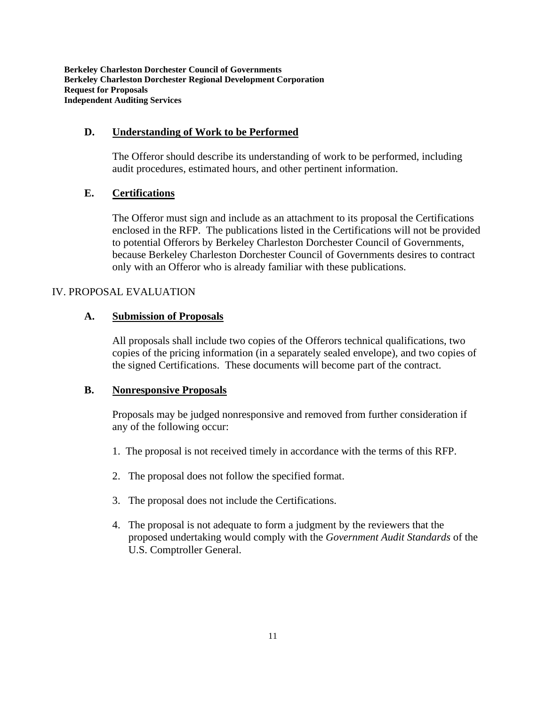#### **D. Understanding of Work to be Performed**

The Offeror should describe its understanding of work to be performed, including audit procedures, estimated hours, and other pertinent information.

#### **E. Certifications**

The Offeror must sign and include as an attachment to its proposal the Certifications enclosed in the RFP. The publications listed in the Certifications will not be provided to potential Offerors by Berkeley Charleston Dorchester Council of Governments, because Berkeley Charleston Dorchester Council of Governments desires to contract only with an Offeror who is already familiar with these publications.

#### IV. PROPOSAL EVALUATION

#### **A. Submission of Proposals**

All proposals shall include two copies of the Offerors technical qualifications, two copies of the pricing information (in a separately sealed envelope), and two copies of the signed Certifications. These documents will become part of the contract.

#### **B. Nonresponsive Proposals**

Proposals may be judged nonresponsive and removed from further consideration if any of the following occur:

- 1. The proposal is not received timely in accordance with the terms of this RFP.
- 2. The proposal does not follow the specified format.
- 3. The proposal does not include the Certifications.
- 4. The proposal is not adequate to form a judgment by the reviewers that the proposed undertaking would comply with the *Government Audit Standards* of the U.S. Comptroller General.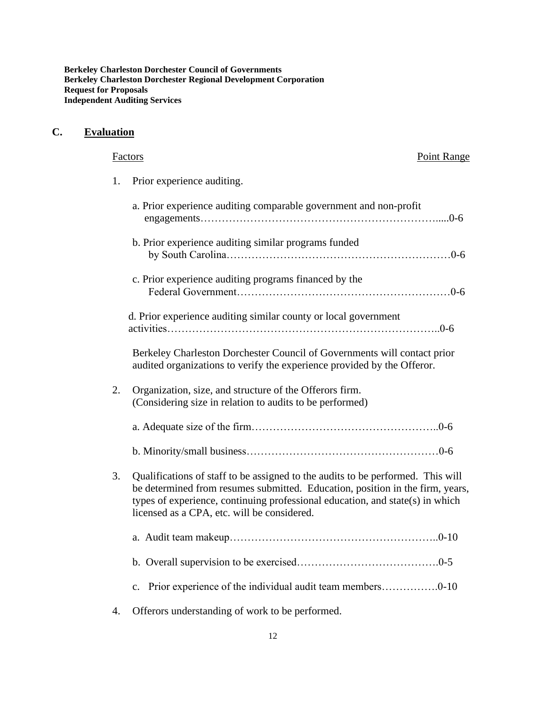# **C. Evaluation**

|    | Point Range<br>Factors                                                                                                                                                                                                                                                                           |
|----|--------------------------------------------------------------------------------------------------------------------------------------------------------------------------------------------------------------------------------------------------------------------------------------------------|
| 1. | Prior experience auditing.                                                                                                                                                                                                                                                                       |
|    | a. Prior experience auditing comparable government and non-profit                                                                                                                                                                                                                                |
|    | b. Prior experience auditing similar programs funded                                                                                                                                                                                                                                             |
|    | c. Prior experience auditing programs financed by the                                                                                                                                                                                                                                            |
|    | d. Prior experience auditing similar county or local government                                                                                                                                                                                                                                  |
|    | Berkeley Charleston Dorchester Council of Governments will contact prior<br>audited organizations to verify the experience provided by the Offeror.                                                                                                                                              |
| 2. | Organization, size, and structure of the Offerors firm.<br>(Considering size in relation to audits to be performed)                                                                                                                                                                              |
|    |                                                                                                                                                                                                                                                                                                  |
|    |                                                                                                                                                                                                                                                                                                  |
| 3. | Qualifications of staff to be assigned to the audits to be performed. This will<br>be determined from resumes submitted. Education, position in the firm, years,<br>types of experience, continuing professional education, and state(s) in which<br>licensed as a CPA, etc. will be considered. |
|    |                                                                                                                                                                                                                                                                                                  |
|    |                                                                                                                                                                                                                                                                                                  |
|    | c. Prior experience of the individual audit team members0-10                                                                                                                                                                                                                                     |
| 4. | Offerors understanding of work to be performed.                                                                                                                                                                                                                                                  |

12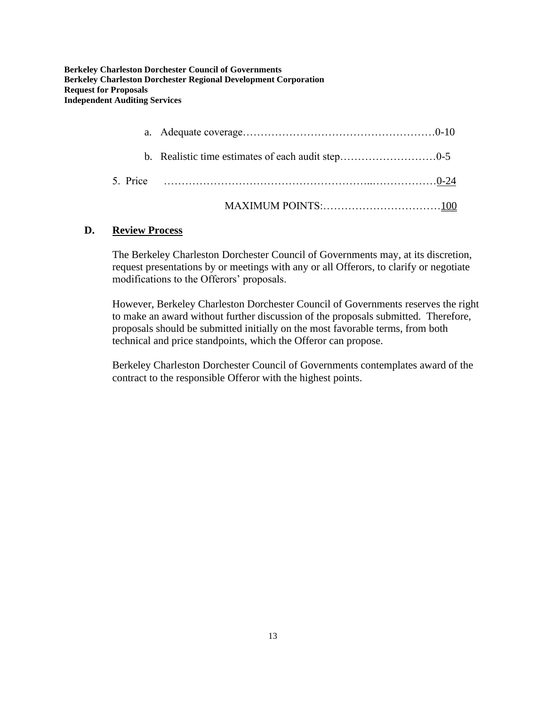## **D. Review Process**

The Berkeley Charleston Dorchester Council of Governments may, at its discretion, request presentations by or meetings with any or all Offerors, to clarify or negotiate modifications to the Offerors' proposals.

However, Berkeley Charleston Dorchester Council of Governments reserves the right to make an award without further discussion of the proposals submitted. Therefore, proposals should be submitted initially on the most favorable terms, from both technical and price standpoints, which the Offeror can propose.

Berkeley Charleston Dorchester Council of Governments contemplates award of the contract to the responsible Offeror with the highest points.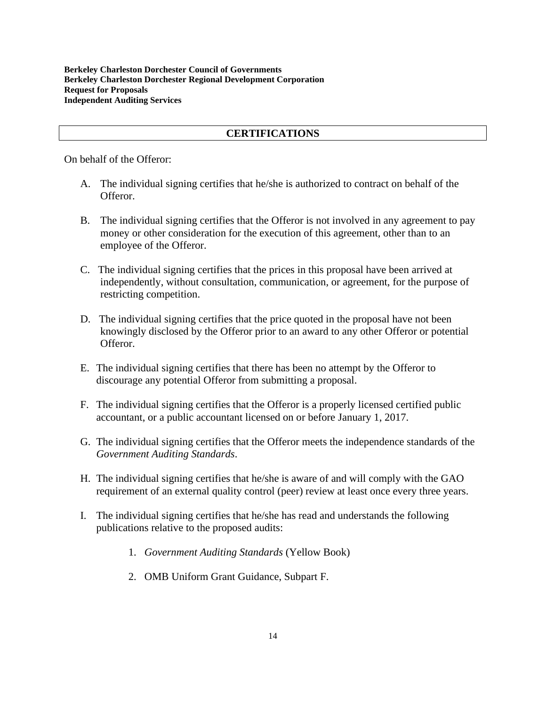#### **CERTIFICATIONS**

On behalf of the Offeror:

- A. The individual signing certifies that he/she is authorized to contract on behalf of the Offeror.
- B. The individual signing certifies that the Offeror is not involved in any agreement to pay money or other consideration for the execution of this agreement, other than to an employee of the Offeror.
- C. The individual signing certifies that the prices in this proposal have been arrived at independently, without consultation, communication, or agreement, for the purpose of restricting competition.
- D. The individual signing certifies that the price quoted in the proposal have not been knowingly disclosed by the Offeror prior to an award to any other Offeror or potential Offeror.
- E. The individual signing certifies that there has been no attempt by the Offeror to discourage any potential Offeror from submitting a proposal.
- F. The individual signing certifies that the Offeror is a properly licensed certified public accountant, or a public accountant licensed on or before January 1, 2017.
- G. The individual signing certifies that the Offeror meets the independence standards of the *Government Auditing Standards*.
- H. The individual signing certifies that he/she is aware of and will comply with the GAO requirement of an external quality control (peer) review at least once every three years.
- I. The individual signing certifies that he/she has read and understands the following publications relative to the proposed audits:
	- 1. *Government Auditing Standards* (Yellow Book)
	- 2. OMB Uniform Grant Guidance, Subpart F.